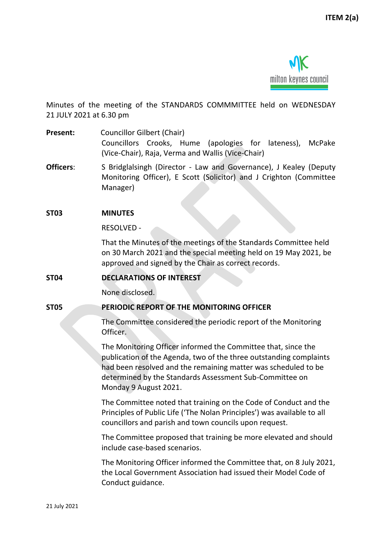

Minutes of the meeting of the STANDARDS COMMMITTEE held on WEDNESDAY 21 JULY 2021 at 6.30 pm

**Present:** Councillor Gilbert (Chair) Councillors Crooks, Hume (apologies for lateness), McPake (Vice-Chair), Raja, Verma and Wallis (Vice-Chair)

- **Officers:** S Bridglalsingh (Director Law and Governance), J Kealey (Deputy Monitoring Officer), E Scott (Solicitor) and J Crighton (Committee Manager)
- **ST03 MINUTES**

RESOLVED -

That the Minutes of the meetings of the Standards Committee held on 30 March 2021 and the special meeting held on 19 May 2021, be approved and signed by the Chair as correct records.

# **ST04 DECLARATIONS OF INTEREST**

None disclosed.

#### **ST05 PERIODIC REPORT OF THE MONITORING OFFICER**

The Committee considered the periodic report of the Monitoring Officer.

The Monitoring Officer informed the Committee that, since the publication of the Agenda, two of the three outstanding complaints had been resolved and the remaining matter was scheduled to be determined by the Standards Assessment Sub-Committee on Monday 9 August 2021.

The Committee noted that training on the Code of Conduct and the Principles of Public Life ('The Nolan Principles') was available to all councillors and parish and town councils upon request.

The Committee proposed that training be more elevated and should include case-based scenarios.

The Monitoring Officer informed the Committee that, on 8 July 2021, the Local Government Association had issued their Model Code of Conduct guidance.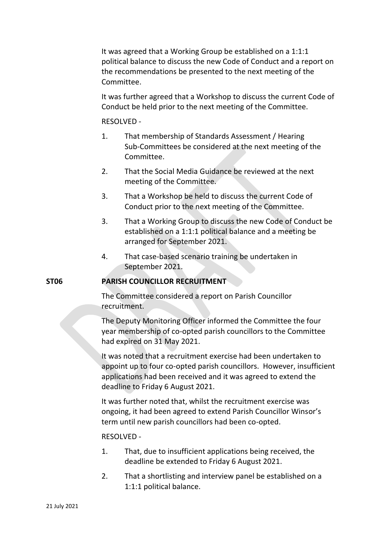It was agreed that a Working Group be established on a 1:1:1 political balance to discuss the new Code of Conduct and a report on the recommendations be presented to the next meeting of the Committee.

It was further agreed that a Workshop to discuss the current Code of Conduct be held prior to the next meeting of the Committee.

### RESOLVED -

- 1. That membership of Standards Assessment / Hearing Sub-Committees be considered at the next meeting of the Committee.
- 2. That the Social Media Guidance be reviewed at the next meeting of the Committee.
- 3. That a Workshop be held to discuss the current Code of Conduct prior to the next meeting of the Committee.
- 3. That a Working Group to discuss the new Code of Conduct be established on a 1:1:1 political balance and a meeting be arranged for September 2021.
- 4. That case-based scenario training be undertaken in September 2021.

# **ST06 PARISH COUNCILLOR RECRUITMENT**

The Committee considered a report on Parish Councillor recruitment.

The Deputy Monitoring Officer informed the Committee the four year membership of co-opted parish councillors to the Committee had expired on 31 May 2021.

It was noted that a recruitment exercise had been undertaken to appoint up to four co-opted parish councillors. However, insufficient applications had been received and it was agreed to extend the deadline to Friday 6 August 2021.

It was further noted that, whilst the recruitment exercise was ongoing, it had been agreed to extend Parish Councillor Winsor's term until new parish councillors had been co-opted.

# RESOLVED -

- 1. That, due to insufficient applications being received, the deadline be extended to Friday 6 August 2021.
- 2. That a shortlisting and interview panel be established on a 1:1:1 political balance.